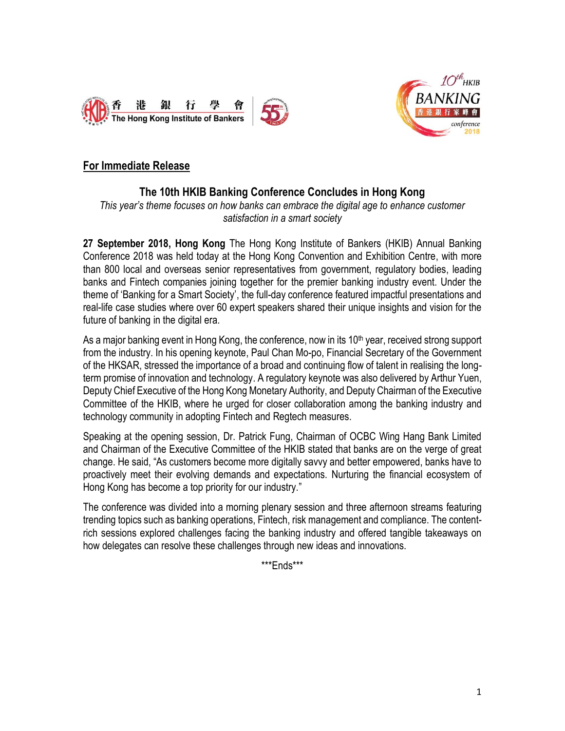



## **For Immediate Release**

# **The 10th HKIB Banking Conference Concludes in Hong Kong**

*This year's theme focuses on how banks can embrace the digital age to enhance customer satisfaction in a smart society*

**27 September 2018, Hong Kong** The Hong Kong Institute of Bankers (HKIB) Annual Banking Conference 2018 was held today at the Hong Kong Convention and Exhibition Centre, with more than 800 local and overseas senior representatives from government, regulatory bodies, leading banks and Fintech companies joining together for the premier banking industry event. Under the theme of 'Banking for a Smart Society', the full-day conference featured impactful presentations and real-life case studies where over 60 expert speakers shared their unique insights and vision for the future of banking in the digital era.

As a major banking event in Hong Kong, the conference, now in its 10<sup>th</sup> year, received strong support from the industry. In his opening keynote, Paul Chan Mo-po, Financial Secretary of the Government of the HKSAR, stressed the importance of a broad and continuing flow of talent in realising the longterm promise of innovation and technology. A regulatory keynote was also delivered by Arthur Yuen, Deputy Chief Executive of the Hong Kong Monetary Authority, and Deputy Chairman of the Executive Committee of the HKIB, where he urged for closer collaboration among the banking industry and technology community in adopting Fintech and Regtech measures.

Speaking at the opening session, Dr. Patrick Fung, Chairman of OCBC Wing Hang Bank Limited and Chairman of the Executive Committee of the HKIB stated that banks are on the verge of great change. He said, "As customers become more digitally savvy and better empowered, banks have to proactively meet their evolving demands and expectations. Nurturing the financial ecosystem of Hong Kong has become a top priority for our industry."

The conference was divided into a morning plenary session and three afternoon streams featuring trending topics such as banking operations, Fintech, risk management and compliance. The contentrich sessions explored challenges facing the banking industry and offered tangible takeaways on how delegates can resolve these challenges through new ideas and innovations.

\*\*\*Ends\*\*\*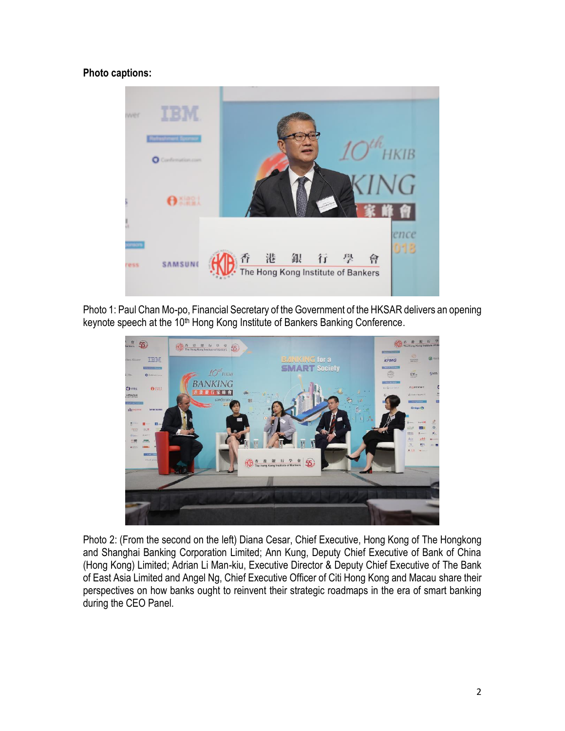### **Photo captions:**



Photo 1: Paul Chan Mo-po, Financial Secretary of the Government of the HKSAR delivers an opening keynote speech at the 10<sup>th</sup> Hong Kong Institute of Bankers Banking Conference.



Photo 2: (From the second on the left) Diana Cesar, Chief Executive, Hong Kong of The Hongkong and Shanghai Banking Corporation Limited; Ann Kung, Deputy Chief Executive of Bank of China (Hong Kong) Limited; Adrian Li Man-kiu, Executive Director & Deputy Chief Executive of The Bank of East Asia Limited and Angel Ng, Chief Executive Officer of Citi Hong Kong and Macau share their perspectives on how banks ought to reinvent their strategic roadmaps in the era of smart banking during the CEO Panel.